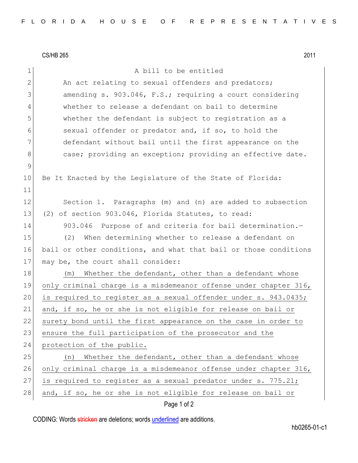|              | <b>CS/HB 265</b><br>2011                                         |
|--------------|------------------------------------------------------------------|
| $\mathbf 1$  | A bill to be entitled                                            |
| $\mathbf{2}$ | An act relating to sexual offenders and predators;               |
| 3            | amending s. 903.046, F.S.; requiring a court considering         |
| 4            | whether to release a defendant on bail to determine              |
| 5            | whether the defendant is subject to registration as a            |
| 6            | sexual offender or predator and, if so, to hold the              |
| 7            | defendant without bail until the first appearance on the         |
| 8            | case; providing an exception; providing an effective date.       |
| $\mathsf 9$  |                                                                  |
| 10           | Be It Enacted by the Legislature of the State of Florida:        |
| 11           |                                                                  |
| 12           | Section 1. Paragraphs (m) and (n) are added to subsection        |
| 13           | (2) of section 903.046, Florida Statutes, to read:               |
| 14           | 903.046 Purpose of and criteria for bail determination.-         |
| 15           | (2)<br>When determining whether to release a defendant on        |
| 16           | bail or other conditions, and what that bail or those conditions |
| 17           | may be, the court shall consider:                                |
| 18           | Whether the defendant, other than a defendant whose<br>(m)       |
| 19           | only criminal charge is a misdemeanor offense under chapter 316, |
| 20           | is required to register as a sexual offender under s. 943.0435;  |
| 21           | and, if so, he or she is not eligible for release on bail or     |
| 22           | surety bond until the first appearance on the case in order to   |
| 23           | ensure the full participation of the prosecutor and the          |
| 24           | protection of the public.                                        |
| 25           | Whether the defendant, other than a defendant whose<br>(n)       |
| 26           | only criminal charge is a misdemeanor offense under chapter 316, |
| 27           | is required to register as a sexual predator under s. 775.21;    |
| 28           | and, if so, he or she is not eligible for release on bail or     |

## Page 1 of 2

CODING: Words stricken are deletions; words underlined are additions.